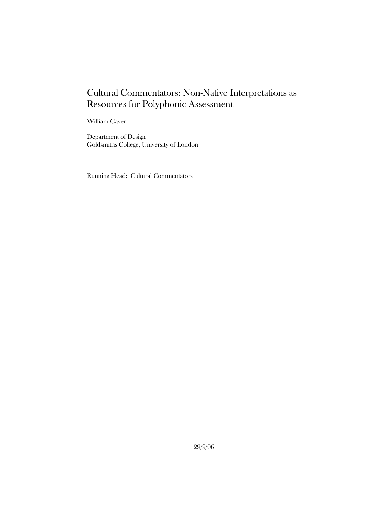# Cultural Commentators: Non-Native Interpretations as Resources for Polyphonic Assessment

William Gaver

Department of Design Goldsmiths College, University of London

Running Head: Cultural Commentators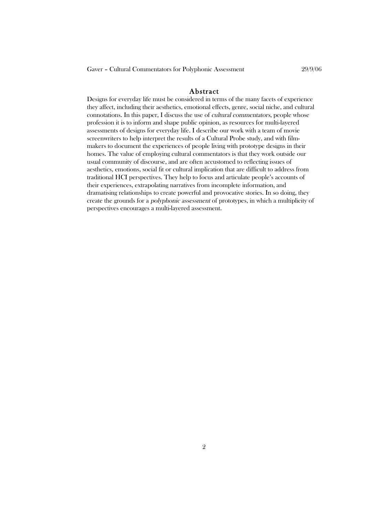# Abstract

Designs for everyday life must be considered in terms of the many facets of experience they affect, including their aesthetics, emotional effects, genre, social niche, and cultural connotations. In this paper, I discuss the use of cultural commentators, people whose profession it is to inform and shape public opinion, as resources for multi-layered assessments of designs for everyday life. I describe our work with a team of movie screenwriters to help interpret the results of a Cultural Probe study, and with filmmakers to document the experiences of people living with prototype designs in their homes. The value of employing cultural commentators is that they work outside our usual community of discourse, and are often accustomed to reflecting issues of aesthetics, emotions, social fit or cultural implication that are difficult to address from traditional HCI perspectives. They help to focus and articulate people's accounts of their experiences, extrapolating narratives from incomplete information, and dramatising relationships to create powerful and provocative stories. In so doing, they create the grounds for a polyphonic assessment of prototypes, in which a multiplicity of perspectives encourages a multi-layered assessment.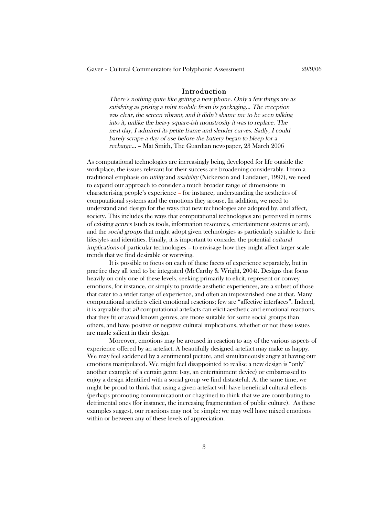# Introduction

There's nothing quite like getting a new phone. Only a few things are as satisfying as prising a mint mobile from its packaging… The reception was clear, the screen vibrant, and it didn't shame me to be seen talking into it, unlike the heavy square-ish monstrosity it was to replace. The next day, I admired its petite frame and slender curves. Sadly, I could barely scrape a day of use before the battery began to bleep for a recharge… – Mat Smith, The Guardian newspaper, 23 March 2006

As computational technologies are increasingly being developed for life outside the workplace, the issues relevant for their success are broadening considerably. From a traditional emphasis on utility and usability (Nickerson and Landauer, 1997), we need to expand our approach to consider a much broader range of dimensions in characterising people's experience – for instance, understanding the aesthetics of computational systems and the emotions they arouse. In addition, we need to understand and design for the ways that new technologies are adopted by, and affect, society. This includes the ways that computational technologies are perceived in terms of existing genres (such as tools, information resources, entertainment systems or art), and the social groups that might adopt given technologies as particularly suitable to their lifestyles and identities. Finally, it is important to consider the potential cultural implications of particular technologies – to envisage how they might affect larger scale trends that we find desirable or worrying.

It is possible to focus on each of these facets of experience separately, but in practice they all tend to be integrated (McCarthy & Wright, 2004). Designs that focus heavily on only one of these levels, seeking primarily to elicit, represent or convey emotions, for instance, or simply to provide aesthetic experiences, are a subset of those that cater to a wider range of experience, and often an impoverished one at that. Many computational artefacts elicit emotional reactions; few are "affective interfaces". Indeed, it is arguable that all computational artefacts can elicit aesthetic and emotional reactions, that they fit or avoid known genres, are more suitable for some social groups than others, and have positive or negative cultural implications, whether or not these issues are made salient in their design.

Moreover, emotions may be aroused in reaction to any of the various aspects of experience offered by an artefact. A beautifully designed artefact may make us happy. We may feel saddened by a sentimental picture, and simultaneously angry at having our emotions manipulated. We might feel disappointed to realise a new design is "only" another example of a certain genre (say, an entertainment device) or embarrassed to enjoy a design identified with a social group we find distasteful. At the same time, we might be proud to think that using a given artefact will have beneficial cultural effects (perhaps promoting communication) or chagrined to think that we are contributing to detrimental ones (for instance, the increasing fragmentation of public culture). As these examples suggest, our reactions may not be simple: we may well have mixed emotions within or between any of these levels of appreciation.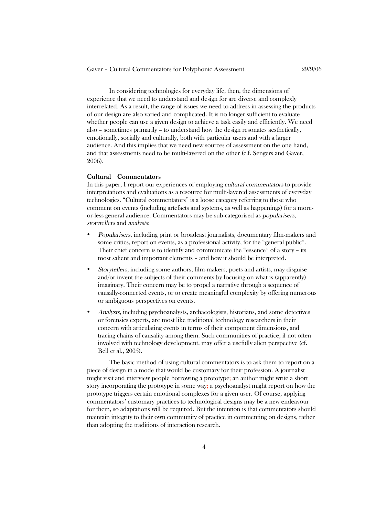In considering technologies for everyday life, then, the dimensions of experience that we need to understand and design for are diverse and complexly interrelated. As a result, the range of issues we need to address in assessing the products of our design are also varied and complicated. It is no longer sufficient to evaluate whether people can use a given design to achieve a task easily and efficiently. We need also – sometimes primarily – to understand how the design resonates aesthetically, emotionally, socially and culturally, both with particular users and with a larger audience. And this implies that we need new sources of assessment on the one hand, and that assessments need to be multi-layered on the other (c.f. Sengers and Gaver, 2006).

## Cultural Commentators

In this paper, I report our experiences of employing cultural commentators to provide interpretations and evaluations as a resource for multi-layered assessments of everyday technologies. "Cultural commentators" is a loose category referring to those who comment on events (including artefacts and systems, as well as happenings) for a moreor-less general audience. Commentators may be sub-categorised as popularisers, storytellers and analysts:

- Popularisers, including print or broadcast journalists, documentary film-makers and some critics, report on events, as a professional activity, for the "general public". Their chief concern is to identify and communicate the "essence" of a story – its most salient and important elements – and how it should be interpreted.
- Storytellers, including some authors, film-makers, poets and artists, may disguise and/or invent the subjects of their comments by focusing on what is (apparently) imaginary. Their concern may be to propel a narrative through a sequence of causally-connected events, or to create meaningful complexity by offering numerous or ambiguous perspectives on events.
- Analysts, including psychoanalysts, archaeologists, historians, and some detectives or forensics experts, are most like traditional technology researchers in their concern with articulating events in terms of their component dimensions, and tracing chains of causality among them. Such communities of practice, if not often involved with technology development, may offer a usefully alien perspective (cf. Bell et al., 2005).

The basic method of using cultural commentators is to ask them to report on a piece of design in a mode that would be customary for their profession. A journalist might visit and interview people borrowing a prototype; an author might write a short story incorporating the prototype in some way; a psychoanalyst might report on how the prototype triggers certain emotional complexes for a given user. Of course, applying commentators' customary practices to technological designs may be a new endeavour for them, so adaptations will be required. But the intention is that commentators should maintain integrity to their own community of practice in commenting on designs, rather than adopting the traditions of interaction research.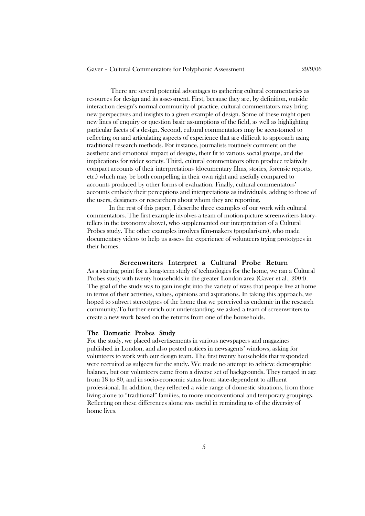There are several potential advantages to gathering cultural commentaries as resources for design and its assessment. First, because they are, by definition, outside interaction design's normal community of practice, cultural commentators may bring new perspectives and insights to a given example of design. Some of these might open new lines of enquiry or question basic assumptions of the field, as well as highlighting particular facets of a design. Second, cultural commentators may be accustomed to reflecting on and articulating aspects of experience that are difficult to approach using traditional research methods. For instance, journalists routinely comment on the aesthetic and emotional impact of designs, their fit to various social groups, and the implications for wider society. Third, cultural commentators often produce relatively compact accounts of their interpretations (documentary films, stories, forensic reports, etc.) which may be both compelling in their own right and usefully compared to accounts produced by other forms of evaluation. Finally, cultural commentators' accounts embody their perceptions and interpretations as individuals, adding to those of

In the rest of this paper, I describe three examples of our work with cultural commentators. The first example involves a team of motion-picture screenwriters (storytellers in the taxonomy above), who supplemented our interpretation of a Cultural Probes study. The other examples involves film-makers (popularisers), who made documentary videos to help us assess the experience of volunteers trying prototypes in their homes.

the users, designers or researchers about whom they are reporting.

## Screenwriters Interpret a Cultural Probe Return

As a starting point for a long-term study of technologies for the home, we ran a Cultural Probes study with twenty households in the greater London area (Gaver et al., 2004). The goal of the study was to gain insight into the variety of ways that people live at home in terms of their activities, values, opinions and aspirations. In taking this approach, we hoped to subvert stereotypes of the home that we perceived as endemic in the research community.To further enrich our understanding, we asked a team of screenwriters to create a new work based on the returns from one of the households.

# The Domestic Probes Study

For the study, we placed advertisements in various newspapers and magazines published in London, and also posted notices in newsagents' windows, asking for volunteers to work with our design team. The first twenty households that responded were recruited as subjects for the study. We made no attempt to achieve demographic balance, but our volunteers came from a diverse set of backgrounds. They ranged in age from 18 to 80, and in socio-economic status from state-dependent to affluent professional. In addition, they reflected a wide range of domestic situations, from those living alone to "traditional" families, to more unconventional and temporary groupings. Reflecting on these differences alone was useful in reminding us of the diversity of home lives.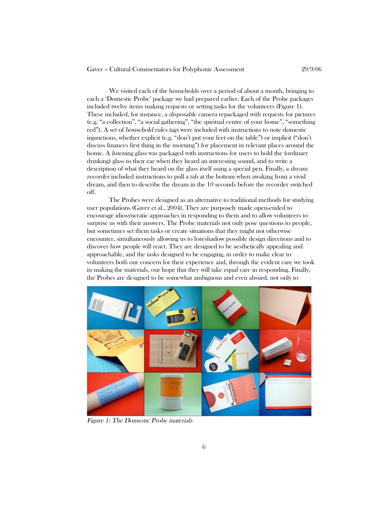We visited each of the households over a period of about a month, bringing to each a 'Domestic Probe' package we had prepared earlier. Each of the Probe packages included twelve items making requests or setting tasks for the volunteers (Figure 1). These included, for instance, a disposable camera repackaged with requests for pictures (e.g. "a collection", "a social gathering", "the spiritual centre of your home", "something red"). A set of household rules tags were included with instructions to note domestic injunctions, whether explicit (e.g. "don't put your feet on the table") or implicit ("don't discuss finances first thing in the morning") for placement in relevant places around the home. A *listening glass* was packaged with instructions for users to hold the (ordinary drinking) glass to their ear when they heard an interesting sound, and to write a description of what they heard on the glass itself using a special pen. Finally, a dream recorder included instructions to pull a tab at the bottom when awaking from a vivid dream, and then to describe the dream in the 10 seconds before the recorder switched

The Probes were designed as an alternative to traditional methods for studying user populations (Gaver et al., 2004). They are purposely made open-ended to encourage idiosyncratic approaches in responding to them and to allow volunteers to surprise us with their answers. The Probe materials not only pose questions to people, but sometimes set them tasks or create situations that they might not otherwise encounter, simultaneously allowing us to foreshadow possible design directions and to discover how people will react. They are designed to be aesthetically appealing and approachable, and the tasks designed to be engaging, in order to make clear to volunteers both our concern for their experience and, through the evident care we took in making the materials, our hope that they will take equal care in responding. Finally, the Probes are designed to be somewhat ambiguous and even absurd, not only to



Figure 1: The Domestic Probe materials

off.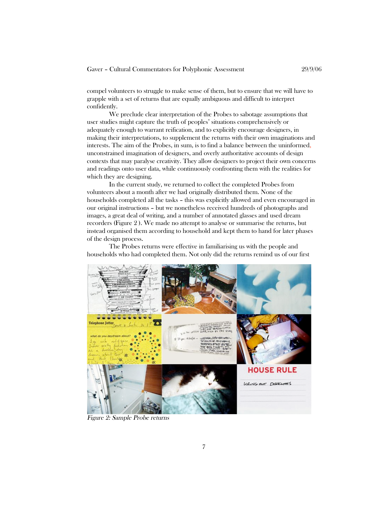compel volunteers to struggle to make sense of them, but to ensure that we will have to grapple with a set of returns that are equally ambiguous and difficult to interpret confidently.

We preclude clear interpretation of the Probes to sabotage assumptions that user studies might capture the truth of peoples' situations comprehensively or adequately enough to warrant reification, and to explicitly encourage designers, in making their interpretations, to supplement the returns with their own imaginations and interests. The aim of the Probes, in sum, is to find a balance between the uninformed, unconstrained imagination of designers, and overly authoritative accounts of design contexts that may paralyse creativity. They allow designers to project their own concerns and readings onto user data, while continuously confronting them with the realities for which they are designing.

In the current study, we returned to collect the completed Probes from volunteers about a month after we had originally distributed them. None of the households completed all the tasks – this was explicitly allowed and even encouraged in our original instructions – but we nonetheless received hundreds of photographs and images, a great deal of writing, and a number of annotated glasses and used dream recorders (Figure 2 ). We made no attempt to analyse or summarise the returns, but instead organised them according to household and kept them to hand for later phases of the design process.

The Probes returns were effective in familiarising us with the people and households who had completed them. Not only did the returns remind us of our first



Figure 2: Sample Probe returns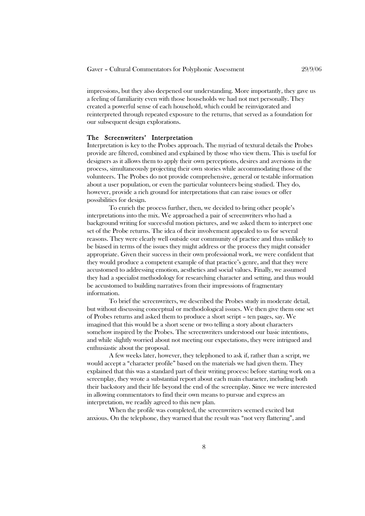impressions, but they also deepened our understanding. More importantly, they gave us a feeling of familiarity even with those households we had not met personally. They created a powerful sense of each household, which could be reinvigorated and reinterpreted through repeated exposure to the returns, that served as a foundation for our subsequent design explorations.

## The Screenwriters' Interpretation

Interpretation is key to the Probes approach. The myriad of textural details the Probes provide are filtered, combined and explained by those who view them. This is useful for designers as it allows them to apply their own perceptions, desires and aversions in the process, simultaneously projecting their own stories while accommodating those of the volunteers. The Probes do not provide comprehensive, general or testable information about a user population, or even the particular volunteers being studied. They do, however, provide a rich ground for interpretations that can raise issues or offer possibilities for design.

To enrich the process further, then, we decided to bring other people's interpretations into the mix. We approached a pair of screenwriters who had a background writing for successful motion pictures, and we asked them to interpret one set of the Probe returns. The idea of their involvement appealed to us for several reasons. They were clearly well outside our community of practice and thus unlikely to be biased in terms of the issues they might address or the process they might consider appropriate. Given their success in their own professional work, we were confident that they would produce a competent example of that practice's genre, and that they were accustomed to addressing emotion, aesthetics and social values. Finally, we assumed they had a specialist methodology for researching character and setting, and thus would be accustomed to building narratives from their impressions of fragmentary information.

To brief the screenwriters, we described the Probes study in moderate detail, but without discussing conceptual or methodological issues. We then give them one set of Probes returns and asked them to produce a short script – ten pages, say. We imagined that this would be a short scene or two telling a story about characters somehow inspired by the Probes. The screenwriters understood our basic intentions, and while slightly worried about not meeting our expectations, they were intrigued and enthusiastic about the proposal.

A few weeks later, however, they telephoned to ask if, rather than a script, we would accept a "character profile" based on the materials we had given them. They explained that this was a standard part of their writing process: before starting work on a screenplay, they wrote a substantial report about each main character, including both their backstory and their life beyond the end of the screenplay. Since we were interested in allowing commentators to find their own means to pursue and express an interpretation, we readily agreed to this new plan.

When the profile was completed, the screenwriters seemed excited but anxious. On the telephone, they warned that the result was "not very flattering", and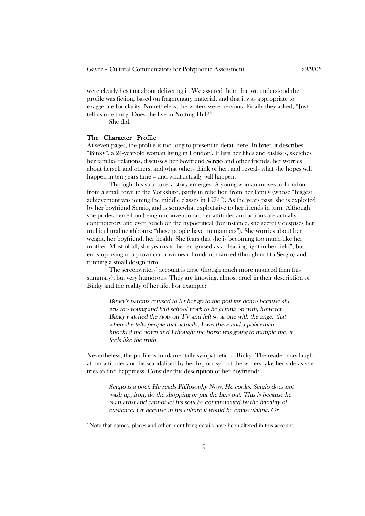were clearly hesitant about delivering it. We assured them that we understood the profile was fiction, based on fragmentary material, and that it was appropriate to exaggerate for clarity. Nonetheless, the writers were nervous. Finally they asked, "Just tell us one thing. Does she live in Notting Hill?"

She did.

## The Character Profile

At seven pages, the profile is too long to present in detail here. In brief, it describes "Binky", a 24-year-old woman living in London<sup>1</sup>. It lists her likes and dislikes, sketches her familial relations, discusses her boyfriend Sergio and other friends, her worries about herself and others, and what others think of her, and reveals what she hopes will happen in ten years time – and what actually will happen.

Through this structure, a story emerges. A young woman moves to London from a small town in the Yorkshire, partly in rebellion from her family (whose "biggest achievement was joining the middle classes in 1974"). As the years pass, she is exploited by her boyfriend Sergio, and is somewhat exploitative to her friends in turn. Although she prides herself on being unconventional, her attitudes and actions are actually contradictory and even touch on the hypocritical (for instance, she secretly despises her multicultural neighbours: "these people have no manners"). She worries about her weight, her boyfriend, her health. She fears that she is becoming too much like her mother. Most of all, she yearns to be recognised as a "leading light in her field", but ends up living in a provincial town near London, married (though not to Sergio) and running a small design firm.

The screenwriters' account is terse (though much more nuanced than this summary), but very humorous. They are knowing, almost cruel in their description of Binky and the reality of her life. For example:

> Binky's parents refused to let her go to the poll tax demo because she was too young and had school work to be getting on with, however Binky watched the riots on TV and felt so at one with the anger that when she tells people that actually, I was there and a policeman knocked me down and I thought the horse was going to trample me, it feels like the truth.

Nevertheless, the profile is fundamentally sympathetic to Binky. The reader may laugh at her attitudes and be scandalised by her hypocrisy, but the writers take her side as she tries to find happiness. Consider this description of her boyfriend:

Sergio is a poet. He reads Philosophy Now. He cooks. Sergio does not wash up, iron, do the shopping or put the bins out. This is because he is an artist and cannot let his soul be contaminated by the banality of existence. Or because in his culture it would be emasculating. Or

 $\frac{1}{1}$ Note that names, places and other identifying details have been altered in this account.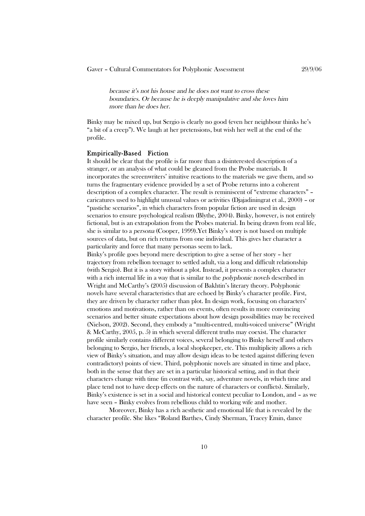because it's not his house and he does not want to cross these boundaries. Or because he is deeply manipulative and she loves him more than he does her.

Binky may be mixed up, but Sergio is clearly no good (even her neighbour thinks he's "a bit of a creep"). We laugh at her pretensions, but wish her well at the end of the profile.

## Empirically-Based Fiction

It should be clear that the profile is far more than a disinterested description of a stranger, or an analysis of what could be gleaned from the Probe materials. It incorporates the screenwriters' intuitive reactions to the materials we gave them, and so turns the fragmentary evidence provided by a set of Probe returns into a coherent description of a complex character. The result is reminiscent of "extreme characters" – caricatures used to highlight unusual values or activities (Djajadiningrat et al., 2000) – or "pastiche scenarios", in which characters from popular fiction are used in design scenarios to ensure psychological realism (Blythe, 2004). Binky, however, is not entirely fictional, but is an extrapolation from the Probes material. In being drawn from real life, she is similar to a persona (Cooper, 1999).Yet Binky's story is not based on multiple sources of data, but on rich returns from one individual. This gives her character a particularity and force that many personas seem to lack.

Binky's profile goes beyond mere description to give a sense of her story – her trajectory from rebellion teenager to settled adult, via a long and difficult relationship (with Sergio). But it is a story without a plot. Instead, it presents a complex character with a rich internal life in a way that is similar to the *polyphonic novels* described in Wright and McCarthy's (2005) discussion of Bakhtin's literary theory. Polyphonic novels have several characteristics that are echoed by Binky's character profile. First, they are driven by character rather than plot. In design work, focusing on characters' emotions and motivations, rather than on events, often results in more convincing scenarios and better situate expectations about how design possibilities may be received (Nielson, 2002). Second, they embody a "multi-centred, multi-voiced universe" (Wright & McCarthy, 2005, p. 5) in which several different truths may coexist. The character profile similarly contains different voices, several belonging to Binky herself and others belonging to Sergio, her friends, a local shopkeeper, etc. This multiplicity allows a rich view of Binky's situation, and may allow design ideas to be tested against differing (even contradictory) points of view. Third, polyphonic novels are situated in time and place, both in the sense that they are set in a particular historical setting, and in that their characters change with time (in contrast with, say, adventure novels, in which time and place tend not to have deep effects on the nature of characters or conflicts). Similarly, Binky's existence is set in a social and historical context peculiar to London, and – as we have seen – Binky evolves from rebellious child to working wife and mother.

Moreover, Binky has a rich aesthetic and emotional life that is revealed by the character profile. She likes "Roland Barthes, Cindy Sherman, Tracey Emin, dance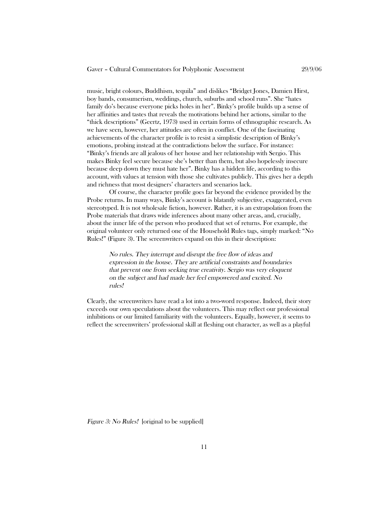music, bright colours, Buddhism, tequila" and dislikes "Bridget Jones, Damien Hirst, boy bands, consumerism, weddings, church, suburbs and school runs". She "hates family do's because everyone picks holes in her". Binky's profile builds up a sense of her affinities and tastes that reveals the motivations behind her actions, similar to the "thick descriptions" (Geertz, 1973) used in certain forms of ethnographic research. As we have seen, however, her attitudes are often in conflict. One of the fascinating achievements of the character profile is to resist a simplistic description of Binky's emotions, probing instead at the contradictions below the surface. For instance:

"Binky's friends are all jealous of her house and her relationship with Sergio. This makes Binky feel secure because she's better than them, but also hopelessly insecure because deep down they must hate her". Binky has a hidden life, according to this account, with values at tension with those she cultivates publicly. This gives her a depth and richness that most designers' characters and scenarios lack.

Of course, the character profile goes far beyond the evidence provided by the Probe returns. In many ways, Binky's account is blatantly subjective, exaggerated, even stereotyped. It is not wholesale fiction, however. Rather, it is an extrapolation from the Probe materials that draws wide inferences about many other areas, and, crucially, about the inner life of the person who produced that set of returns. For example, the original volunteer only returned one of the Household Rules tags, simply marked: "No Rules!" (Figure 3). The screenwriters expand on this in their description:

No rules. They interrupt and disrupt the free flow of ideas and expression in the house. They are artificial constraints and boundaries that prevent one from seeking true creativity. Sergio was very eloquent on the subject and had made her feel empowered and excited. No rules!

Clearly, the screenwriters have read a lot into a two-word response. Indeed, their story exceeds our own speculations about the volunteers. This may reflect our professional inhibitions or our limited familiarity with the volunteers. Equally, however, it seems to reflect the screenwriters' professional skill at fleshing out character, as well as a playful

Figure 3: No Rules! [original to be supplied]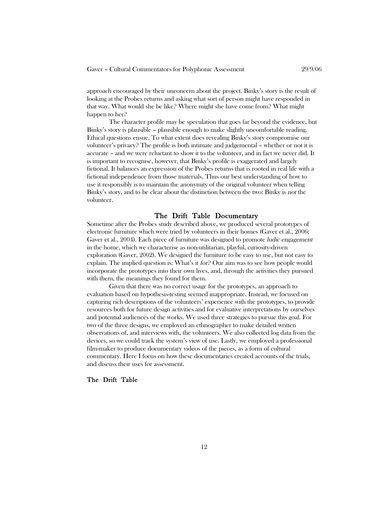approach encouraged by their unconcern about the project. Binky's story is the result of looking at the Probes returns and asking what sort of person might have responded in that way. What would she be like? Where might she have come from? What might happen to her?

The character profile may be speculation that goes far beyond the evidence, but Binky's story is plausible – plausible enough to make slightly uncomfortable reading. Ethical questions ensue. To what extent does revealing Binky's story compromise our volunteer's privacy? The profile is both intimate and judgemental – whether or not it is accurate – and we were reluctant to show it to the volunteer, and in fact we never did. It is important to recognise, however, that Binky's profile is exaggerated and largely fictional. It balances an expression of the Probes returns that is rooted in real life with a fictional independence from those materials. Thus our best understanding of how to use it responsibly is to maintain the anonymity of the original volunteer when telling Binky's story, and to be clear about the distinction between the two: Binky is not the volunteer.

# The Drift Table Documentary

Sometime after the Probes study described above, we produced several prototypes of electronic furniture which were tried by volunteers in their homes (Gaver et al., 2006; Gaver et al., 2004). Each piece of furniture was designed to promote ludic engagement in the home, which we characterise as non-utilitarian, playful, curiosity-driven exploration (Gaver, 2002). We designed the furniture to be easy to use, but not easy to explain. The implied question is: What's it for? Our aim was to see how people would incorporate the prototypes into their own lives, and, through the activities they pursued with them, the meanings they found for them.

Given that there was no correct usage for the prototypes, an approach to evaluation based on hypothesis-testing seemed inappropriate. Instead, we focused on capturing rich descriptions of the volunteers' experience with the prototypes, to provide resources both for future design activities and for evaluative interpretations by ourselves and potential audiences of the works. We used three strategies to pursue this goal. For two of the three designs, we employed an ethnographer to make detailed written observations of, and interviews with, the volunteers. We also collected log data from the devices, so we could track the system's view of use. Lastly, we employed a professional film-maker to produce documentary videos of the pieces, as a form of cultural commentary. Here I focus on how these documentaries created accounts of the trials, and discuss their uses for assessment.

# The Drift Table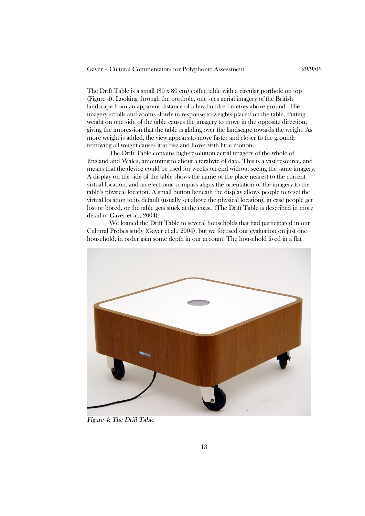The Drift Table is a small  $(80 \times 80 \text{ cm})$  coffee table with a circular porthole on top (Figure 4). Looking through the porthole, one sees aerial imagery of the British landscape from an apparent distance of a few hundred metres above ground. The imagery scrolls and zooms slowly in response to weights placed on the table. Putting weight on one side of the table causes the imagery to move in the opposite direction, giving the impression that the table is gliding over the landscape towards the weight. As more weight is added, the view appears to move faster and closer to the ground; removing all weight causes it to rise and hover with little motion.

The Drift Table contains high-resolution aerial imagery of the whole of England and Wales, amounting to about a terabyte of data. This is a vast resource, and means that the device could be used for weeks on end without seeing the same imagery. A display on the side of the table shows the name of the place nearest to the current virtual location, and an electronic compass aligns the orientation of the imagery to the table's physical location. A small button beneath the display allows people to reset the virtual location to its default (usually set above the physical location), in case people get lost or bored, or the table gets stuck at the coast. (The Drift Table is described in more detail in Gaver et al., 2004).

We loaned the Drift Table to several households that had participated in our Cultural Probes study (Gaver et al., 2004), but we focused our evaluation on just one household, in order gain some depth in our account. The household lived in a flat



Figure 4: The Drift Table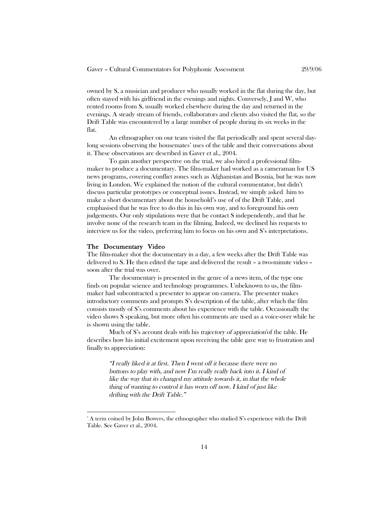owned by S, a musician and producer who usually worked in the flat during the day, but often stayed with his girlfriend in the evenings and nights. Conversely, J and W, who rented rooms from S, usually worked elsewhere during the day and returned in the evenings. A steady stream of friends, collaborators and clients also visited the flat, so the Drift Table was encountered by a large number of people during its six weeks in the flat.

An ethnographer on our team visited the flat periodically and spent several daylong sessions observing the housemates' uses of the table and their conversations about it. These observations are described in Gaver et al., 2004.

To gain another perspective on the trial, we also hired a professional filmmaker to produce a documentary. The film-maker had worked as a cameraman for US news programs, covering conflict zones such as Afghanistan and Bosnia, but he was now living in London. We explained the notion of the cultural commentator, but didn't discuss particular prototypes or conceptual issues. Instead, we simply asked him to make a short documentary about the household's use of of the Drift Table, and emphasised that he was free to do this in his own way, and to foreground his own judgements. Our only stipulations were that he contact S independently, and that he involve none of the research team in the filming. Indeed, we declined his requests to interview us for the video, preferring him to focus on his own and S's interpretations.

#### The Documentary Video

The film-maker shot the documentary in a day, a few weeks after the Drift Table was delivered to S. He then edited the tape and delivered the result – a two-minute video – soon after the trial was over.

The documentary is presented in the genre of a news item, of the type one finds on popular science and technology programmes. Unbeknown to us, the filmmaker had subcontracted a presenter to appear on camera. The presenter makes introductory comments and prompts S's description of the table, after which the film consists mostly of S's comments about his experience with the table. Occasionally the video shows S speaking, but more often his comments are used as a voice-over while he is shown using the table.

Much of  $S$ 's account deals with his *trajectory of appreciation* of the table. He describes how his initial excitement upon receiving the table gave way to frustration and finally to appreciation:

"I really liked it at first. Then I went off it because there were no buttons to play with, and now I'm really really back into it. I kind of like the way that its changed my attitude towards it, in that the whole thing of wanting to control it has worn off now. I kind of just like drifting with the Drift Table."

 $\frac{1}{2}$  $A$  term coined by John Bowers, the ethnographer who studied S's experience with the Drift Table. See Gaver et al., 2004.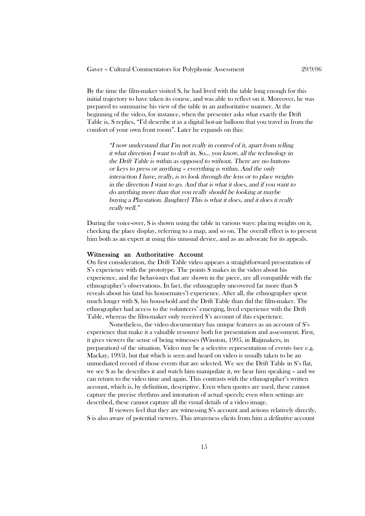By the time the film-maker visited S, he had lived with the table long enough for this initial trajectory to have taken its course, and was able to reflect on it. Moreover, he was prepared to summarise his view of the table in an authoritative manner. At the beginning of the video, for instance, when the presenter asks what exactly the Drift Table is, S replies, "I'd describe it as a digital hot-air balloon that you travel in from the comfort of your own front room". Later he expands on this:

"I now understand that I'm not really in control of it, apart from telling it what direction I want to drift in. So… you know, all the technology in the Drift Table is within as opposed to without. There are no buttons or keys to press or anything – everything is within. And the only interaction I have, really, is to look through the lens or to place weights in the direction I want to go. And that is what it does, and if you want to do anything more than that you really should be looking at maybe buying a Playstation. [laughter] This is what it does, and it does it really really well."

During the voice-over, S is shown using the table in various ways: placing weights on it, checking the place display, referring to a map, and so on. The overall effect is to present him both as an expert at using this unusual device, and as an advocate for its appeals.

#### Witnessing an Authoritative Account

On first consideration, the Drift Table video appears a straightforward presentation of S's experience with the prototype. The points S makes in the video about his experience, and the behaviours that are shown in the piece, are all compatible with the ethnographer's observations. In fact, the ethnography uncovered far more than S reveals about his (and his housemates') experience. After all, the ethnographer spent much longer with S, his household and the Drift Table than did the film-maker. The ethnographer had access to the volunteers' emerging, lived experience with the Drift Table, whereas the film-maker only received S's account of this experience.

Nonetheless, the video documentary has unique features as an account of S's experience that make it a valuable resource both for presentation and assessment. First, it gives viewers the sense of being witnesses (Winston, 1995, in Raijmakers, in preparation) of the situation. Video may be a selective representation of events (see e.g. Mackay, 1995), but that which is seen and heard on video is usually taken to be an unmediated record of those events that are selected. We see the Drift Table in S's flat, we see S as he describes it and watch him manipulate it, we hear him speaking – and we can return to the video time and again. This contrasts with the ethnographer's written account, which is, by definition, descriptive. Even when quotes are used, these cannot capture the precise rhythms and intonation of actual speech; even when settings are described, these cannot capture all the visual details of a video image.

If viewers feel that they are witnessing S's account and actions relatively directly, S is also aware of potential viewers. This awareness elicits from him a definitive account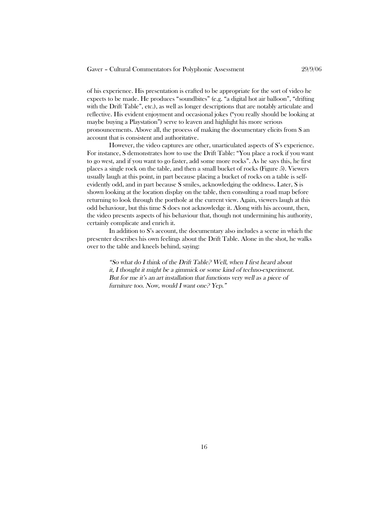of his experience. His presentation is crafted to be appropriate for the sort of video he expects to be made. He produces "soundbites" (e.g. "a digital hot air balloon", "drifting with the Drift Table", etc.), as well as longer descriptions that are notably articulate and reflective. His evident enjoyment and occasional jokes ("you really should be looking at maybe buying a Playstation") serve to leaven and highlight his more serious pronouncements. Above all, the process of making the documentary elicits from S an account that is consistent and authoritative.

However, the video captures are other, unarticulated aspects of S's experience. For instance, S demonstrates how to use the Drift Table: "You place a rock if you want to go west, and if you want to go faster, add some more rocks". As he says this, he first places a single rock on the table, and then a small bucket of rocks (Figure 5). Viewers usually laugh at this point, in part because placing a bucket of rocks on a table is selfevidently odd, and in part because S smiles, acknowledging the oddness. Later, S is shown looking at the location display on the table, then consulting a road map before returning to look through the porthole at the current view. Again, viewers laugh at this odd behaviour, but this time S does not acknowledge it. Along with his account, then, the video presents aspects of his behaviour that, though not undermining his authority, certainly complicate and enrich it.

In addition to S's account, the documentary also includes a scene in which the presenter describes his own feelings about the Drift Table. Alone in the shot, he walks over to the table and kneels behind, saying:

"So what do I think of the Drift Table? Well, when I first heard about it, I thought it might be a gimmick or some kind of techno-experiment. But for me it's an art installation that functions very well as a piece of furniture too. Now, would I want one? Yep."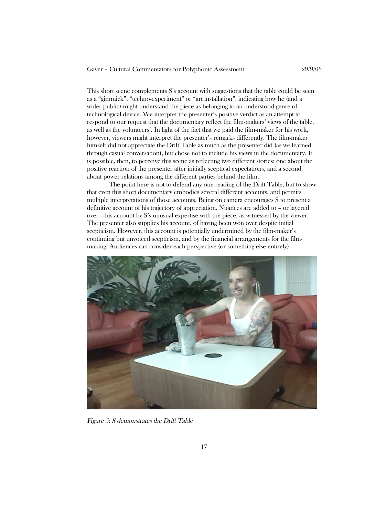This short scene complements S's account with suggestions that the table could be seen as a "gimmick", "techno-experiment" or "art installation", indicating how he (and a wider public) might understand the piece as belonging to an understood genre of technological device. We interpret the presenter's positive verdict as an attempt to respond to our request that the documentary reflect the film-makers' views of the table, as well as the volunteers'. In light of the fact that we paid the film-maker for his work, however, viewers might interpret the presenter's remarks differently. The film-maker himself did not appreciate the Drift Table as much as the presenter did (as we learned through casual conversation), but chose not to include his views in the documentary. It is possible, then, to perceive this scene as reflecting two different stories: one about the positive reaction of the presenter after initially sceptical expectations, and a second about power relations among the different parties behind the film.

The point here is not to defend any one reading of the Drift Table, but to show that even this short documentary embodies several different accounts, and permits multiple interpretations of those accounts. Being on camera encourages S to present a definitive account of his trajectory of appreciation. Nuances are added to – or layered over – his account by S's unusual expertise with the piece, as witnessed by the viewer. The presenter also supplies his account, of having been won over despite initial scepticism. However, this account is potentially undermined by the film-maker's continuing but unvoiced scepticism, and by the financial arrangements for the filmmaking. Audiences can consider each perspective (or something else entirely).



Figure 5: S demonstrates the Drift Table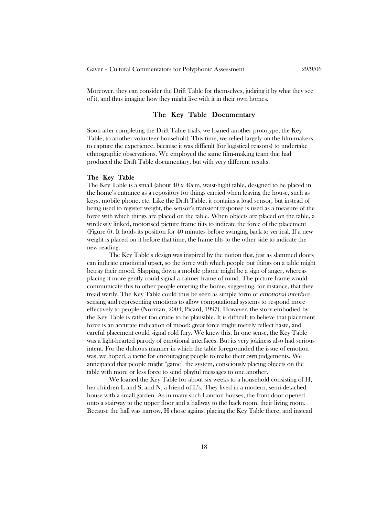Moreover, they can consider the Drift Table for themselves, judging it by what they see of it, and thus imagine how they might live with it in their own homes.

# The Key Table Documentary

Soon after completing the Drift Table trials, we loaned another prototype, the Key Table, to another volunteer household. This time, we relied largely on the film-makers to capture the experience, because it was difficult (for logistical reasons) to undertake ethnographic observations. We employed the same film-making team that had produced the Drift Table documentary, but with very different results.

#### The Key Table

The Key Table is a small (about 40 x 40cm, waist-high) table, designed to be placed in the home's entrance as a repository for things carried when leaving the house, such as keys, mobile phone, etc. Like the Drift Table, it contains a load sensor, but instead of being used to register weight, the sensor's transient response is used as a measure of the force with which things are placed on the table. When objects are placed on the table, a wirelessly linked, motorised picture frame tilts to indicate the force of the placement (Figure 6). It holds its position for 40 minutes before swinging back to vertical. If a new weight is placed on it before that time, the frame tilts to the other side to indicate the new reading.

The Key Table's design was inspired by the notion that, just as slammed doors can indicate emotional upset, so the force with which people put things on a table might betray their mood. Slapping down a mobile phone might be a sign of anger, whereas placing it more gently could signal a calmer frame of mind. The picture frame would communicate this to other people entering the home, suggesting, for instance, that they tread warily. The Key Table could thus be seen as simple form of emotional interface, sensing and representing emotions to allow computational systems to respond more effectively to people (Norman, 2004; Picard, 1997). However, the story embodied by the Key Table is rather too crude to be plausible. It is difficult to believe that placement force is an accurate indication of mood: great force might merely reflect haste, and careful placement could signal cold fury. We knew this. In one sense, the Key Table was a light-hearted parody of emotional interfaces. But its very jokiness also had serious intent. For the dubious manner in which the table foregrounded the issue of emotion was, we hoped, a tactic for encouraging people to make their own judgements. We anticipated that people might "game" the system, consciously placing objects on the table with more or less force to send playful messages to one another.

We loaned the Key Table for about six weeks to a household consisting of H, her children L and S, and N, a friend of L's. They lived in a modern, semi-detached house with a small garden. As in many such London houses, the front door opened onto a stairway to the upper floor and a hallway to the back room, their living room. Because the hall was narrow, H chose against placing the Key Table there, and instead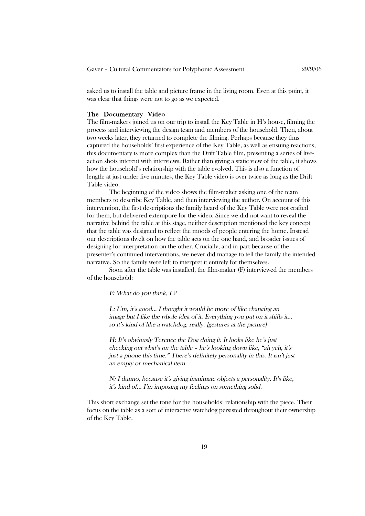asked us to install the table and picture frame in the living room. Even at this point, it was clear that things were not to go as we expected.

#### The Documentary Video

The film-makers joined us on our trip to install the Key Table in H's house, filming the process and interviewing the design team and members of the household. Then, about two weeks later, they returned to complete the filming. Perhaps because they thus captured the households' first experience of the Key Table, as well as ensuing reactions, this documentary is more complex than the Drift Table film, presenting a series of liveaction shots intercut with interviews. Rather than giving a static view of the table, it shows how the household's relationship with the table evolved. This is also a function of length: at just under five minutes, the Key Table video is over twice as long as the Drift Table video.

The beginning of the video shows the film-maker asking one of the team members to describe Key Table, and then interviewing the author. On account of this intervention, the first descriptions the family heard of the Key Table were not crafted for them, but delivered extempore for the video. Since we did not want to reveal the narrative behind the table at this stage, neither description mentioned the key concept that the table was designed to reflect the moods of people entering the home. Instead our descriptions dwelt on how the table acts on the one hand, and broader issues of designing for interpretation on the other. Crucially, and in part because of the presenter's continued interventions, we never did manage to tell the family the intended narrative. So the family were left to interpret it entirely for themselves.

Soon after the table was installed, the film-maker (F) interviewed the members of the household:

F: What do you think, L?

L: Um, it's good… I thought it would be more of like changing an image but I like the whole idea of it. Everything you put on it shifts it… so it's kind of like a watchdog, really. [gestures at the picture]

H: It's obviously Terence the Dog doing it. It looks like he's just checking out what's on the table – he's looking down like, "ah yeh, it's just a phone this time." There's definitely personality in this. It isn't just an empty or mechanical item.

N: I dunno, because it's giving inanimate objects a personality. It's like, it's kind of… I'm imposing my feelings on something solid.

This short exchange set the tone for the households' relationship with the piece. Their focus on the table as a sort of interactive watchdog persisted throughout their ownership of the Key Table.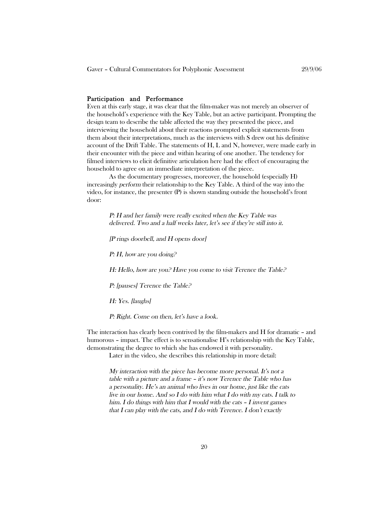## Participation and Performance

Even at this early stage, it was clear that the film-maker was not merely an observer of the household's experience with the Key Table, but an active participant. Prompting the design team to describe the table affected the way they presented the piece, and interviewing the household about their reactions prompted explicit statements from them about their interpretations, much as the interviews with S drew out his definitive account of the Drift Table. The statements of H, L and N, however, were made early in their encounter with the piece and within hearing of one another. The tendency for filmed interviews to elicit definitive articulation here had the effect of encouraging the household to agree on an immediate interpretation of the piece.

As the documentary progresses, moreover, the household (especially H) increasingly perform their relationship to the Key Table. A third of the way into the video, for instance, the presenter (P) is shown standing outside the household's front door:

> P: H and her family were really excited when the Key Table was delivered. Two and a half weeks later, let's see if they're still into it.

[P rings doorbell, and H opens door]

P: H, how are you doing?

H: Hello, how are you? Have you come to visit Terence the Table?

P: [pauses] Terence the Table?

H: Yes. [laughs]

P: Right. Come on then, let's have a look.

The interaction has clearly been contrived by the film-makers and H for dramatic – and humorous – impact. The effect is to sensationalise H's relationship with the Key Table, demonstrating the degree to which she has endowed it with personality.

Later in the video, she describes this relationship in more detail:

My interaction with the piece has become more personal. It's not a table with a picture and a frame – it's now Terence the Table who has a personality. He's an animal who lives in our home, just like the cats live in our home. And so I do with him what I do with my cats. I talk to him. I do things with him that I would with the cats – I invent games that  $I$  can play with the cats, and  $I$  do with Terence.  $I$  don't exactly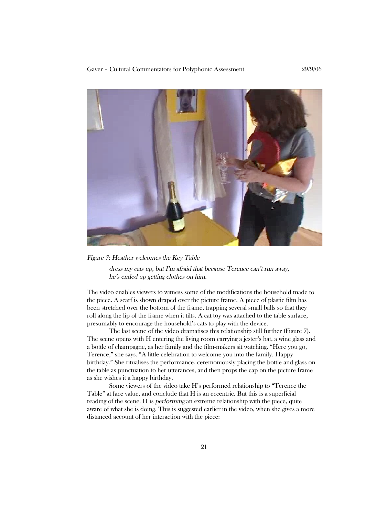

Figure 7: Heather welcomes the Key Table

dress my cats up, but I'm afraid that because Terence can't run away, he's ended up getting clothes on him.

The video enables viewers to witness some of the modifications the household made to the piece. A scarf is shown draped over the picture frame. A piece of plastic film has been stretched over the bottom of the frame, trapping several small balls so that they roll along the lip of the frame when it tilts. A cat toy was attached to the table surface, presumably to encourage the household's cats to play with the device.

The last scene of the video dramatises this relationship still further (Figure 7). The scene opens with H entering the living room carrying a jester's hat, a wine glass and a bottle of champagne, as her family and the film-makers sit watching. "Here you go, Terence," she says. "A little celebration to welcome you into the family. Happy birthday." She ritualises the performance, ceremoniously placing the bottle and glass on the table as punctuation to her utterances, and then props the cap on the picture frame as she wishes it a happy birthday.

Some viewers of the video take H's performed relationship to "Terence the Table" at face value, and conclude that H is an eccentric. But this is a superficial reading of the scene. H is performing an extreme relationship with the piece, quite aware of what she is doing. This is suggested earlier in the video, when she gives a more distanced account of her interaction with the piece: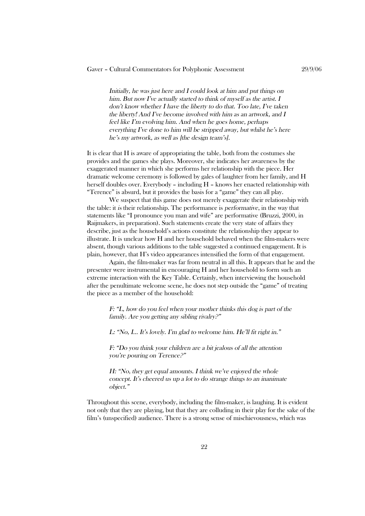Initially, he was just here and I could look at him and put things on him. But now I've actually started to think of myself as the artist. I don't know whether I have the liberty to do that. Too late, I've taken the liberty! And I've become involved with him as an artwork, and I feel like I'm evolving him. And when he goes home, perhaps everything I've done to him will be stripped away, but whilst he's here he's my artwork, as well as [the design team's].

It is clear that H is aware of appropriating the table, both from the costumes she provides and the games she plays. Moreover, she indicates her awareness by the exaggerated manner in which she performs her relationship with the piece. Her dramatic welcome ceremony is followed by gales of laughter from her family, and H herself doubles over. Everybody – including H – knows her enacted relationship with "Terence" is absurd, but it provides the basis for a "game" they can all play.

We suspect that this game does not merely exaggerate their relationship with the table: it is their relationship. The performance is performative, in the way that statements like "I pronounce you man and wife" are performative (Bruzzi, 2000, in Raijmakers, in preparation). Such statements create the very state of affairs they describe, just as the household's actions constitute the relationship they appear to illustrate. It is unclear how H and her household behaved when the film-makers were absent, though various additions to the table suggested a continued engagement. It is plain, however, that H's video appearances intensified the form of that engagement.

Again, the film-maker was far from neutral in all this. It appears that he and the presenter were instrumental in encouraging H and her household to form such an extreme interaction with the Key Table. Certainly, when interviewing the household after the penultimate welcome scene, he does not step outside the "game" of treating the piece as a member of the household:

F: "L, how do you feel when your mother thinks this dog is part of the family. Are you getting any sibling rivalry?"

L: "No, I… It's lovely. I'm glad to welcome him. He'll fit right in."

F: "Do you think your children are a bit jealous of all the attention you're pouring on Terence?"

H: "No, they get equal amounts. I think we've enjoyed the whole concept. It's cheered us up a lot to do strange things to an inanimate object."

Throughout this scene, everybody, including the film-maker, is laughing. It is evident not only that they are playing, but that they are colluding in their play for the sake of the film's (unspecified) audience. There is a strong sense of mischievousness, which was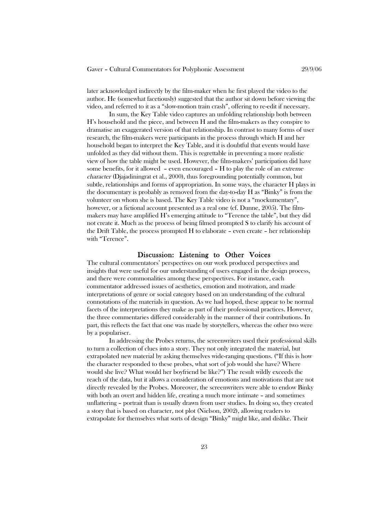later acknowledged indirectly by the film-maker when he first played the video to the author. He (somewhat facetiously) suggested that the author sit down before viewing the video, and referred to it as a "slow-motion train crash", offering to re-edit if necessary.

In sum, the Key Table video captures an unfolding relationship both between H's household and the piece, and between H and the film-makers as they conspire to dramatise an exaggerated version of that relationship. In contrast to many forms of user research, the film-makers were participants in the process through which H and her household began to interpret the Key Table, and it is doubtful that events would have unfolded as they did without them. This is regrettable in preventing a more realistic view of how the table might be used. However, the film-makers' participation did have some benefits, for it allowed – even encouraged – H to play the role of an extreme character (Djajadiningrat et al., 2000), thus foregrounding potentially common, but subtle, relationships and forms of appropriation. In some ways, the character H plays in the documentary is probably as removed from the day-to-day H as "Binky" is from the volunteer on whom she is based. The Key Table video is not a "mockumentary", however, or a fictional account presented as a real one (cf. Dunne, 2005). The filmmakers may have amplified H's emerging attitude to "Terence the table", but they did not create it. Much as the process of being filmed prompted S to clarify his account of the Drift Table, the process prompted H to elaborate – even create – her relationship with "Terence".

# Discussion: Listening to Other Voices

The cultural commentators' perspectives on our work produced perspectives and insights that were useful for our understanding of users engaged in the design process, and there were commonalities among these perspectives. For instance, each commentator addressed issues of aesthetics, emotion and motivation, and made interpretations of genre or social category based on an understanding of the cultural connotations of the materials in question. As we had hoped, these appear to be normal facets of the interpretations they make as part of their professional practices. However, the three commentaries differed considerably in the manner of their contributions. In part, this reflects the fact that one was made by storytellers, whereas the other two were by a populariser.

In addressing the Probes returns, the screenwriters used their professional skills to turn a collection of clues into a story. They not only integrated the material, but extrapolated new material by asking themselves wide-ranging questions. ("If this is how the character responded to these probes, what sort of job would she have? Where would she live? What would her boyfriend be like?") The result wildly exceeds the reach of the data, but it allows a consideration of emotions and motivations that are not directly revealed by the Probes. Moreover, the screenwriters were able to endow Binky with both an overt and hidden life, creating a much more intimate – and sometimes unflattering – portrait than is usually drawn from user studies. In doing so, they created a story that is based on character, not plot (Nielson, 2002), allowing readers to extrapolate for themselves what sorts of design "Binky" might like, and dislike. Their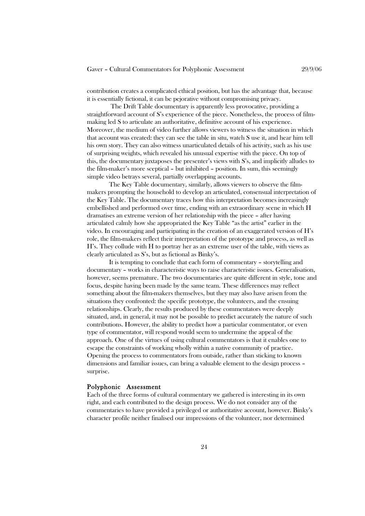contribution creates a complicated ethical position, but has the advantage that, because it is essentially fictional, it can be pejorative without compromising privacy.

 The Drift Table documentary is apparently less provocative, providing a straightforward account of S's experience of the piece. Nonetheless, the process of filmmaking led S to articulate an authoritative, definitive account of his experience. Moreover, the medium of video further allows viewers to witness the situation in which that account was created: they can see the table in situ, watch S use it, and hear him tell his own story. They can also witness unarticulated details of his activity, such as his use of surprising weights, which revealed his unusual expertise with the piece. On top of this, the documentary juxtaposes the presenter's views with S's, and implicitly alludes to the film-maker's more sceptical – but inhibited – position. In sum, this seemingly simple video betrays several, partially overlapping accounts.

The Key Table documentary, similarly, allows viewers to observe the filmmakers prompting the household to develop an articulated, consensual interpretation of the Key Table. The documentary traces how this interpretation becomes increasingly embellished and performed over time, ending with an extraordinary scene in which H dramatises an extreme version of her relationship with the piece – after having articulated calmly how she appropriated the Key Table "as the artist" earlier in the video. In encouraging and participating in the creation of an exaggerated version of H's role, the film-makers reflect their interpretation of the prototype and process, as well as H's. They collude with H to portray her as an extreme user of the table, with views as clearly articulated as S's, but as fictional as Binky's.

It is tempting to conclude that each form of commentary – storytelling and documentary – works in characteristic ways to raise characteristic issues. Generalisation, however, seems premature. The two documentaries are quite different in style, tone and focus, despite having been made by the same team. These differences may reflect something about the film-makers themselves, but they may also have arisen from the situations they confronted: the specific prototype, the volunteers, and the ensuing relationships. Clearly, the results produced by these commentators were deeply situated, and, in general, it may not be possible to predict accurately the nature of such contributions. However, the ability to predict how a particular commentator, or even type of commentator, will respond would seem to undermine the appeal of the approach. One of the virtues of using cultural commentators is that it enables one to escape the constraints of working wholly within a native community of practice. Opening the process to commentators from outside, rather than sticking to known dimensions and familiar issues, can bring a valuable element to the design process – surprise.

## Polyphonic Assessment

Each of the three forms of cultural commentary we gathered is interesting in its own right, and each contributed to the design process. We do not consider any of the commentaries to have provided a privileged or authoritative account, however. Binky's character profile neither finalised our impressions of the volunteer, nor determined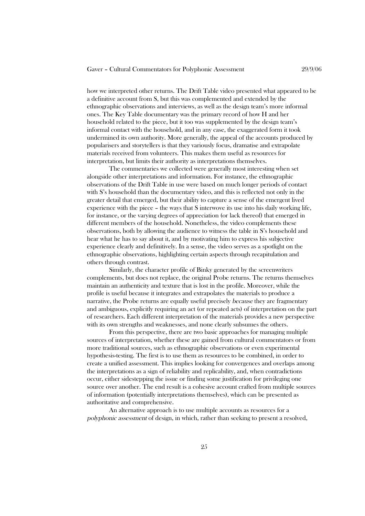how we interpreted other returns. The Drift Table video presented what appeared to be a definitive account from S, but this was complemented and extended by the ethnographic observations and interviews, as well as the design team's more informal ones. The Key Table documentary was the primary record of how H and her household related to the piece, but it too was supplemented by the design team's informal contact with the household, and in any case, the exaggerated form it took undermined its own authority. More generally, the appeal of the accounts produced by popularisers and storytellers is that they variously focus, dramatise and extrapolate materials received from volunteers. This makes them useful as resources for interpretation, but limits their authority as interpretations themselves.

The commentaries we collected were generally most interesting when set alongside other interpretations and information. For instance, the ethnographic observations of the Drift Table in use were based on much longer periods of contact with S's household than the documentary video, and this is reflected not only in the greater detail that emerged, but their ability to capture a sense of the emergent lived experience with the piece – the ways that S interwove its use into his daily working life, for instance, or the varying degrees of appreciation (or lack thereof) that emerged in different members of the household. Nonetheless, the video complements these observations, both by allowing the audience to witness the table in S's household and hear what he has to say about it, and by motivating him to express his subjective experience clearly and definitively. In a sense, the video serves as a spotlight on the ethnographic observations, highlighting certain aspects through recapitulation and others through contrast.

Similarly, the character profile of Binky generated by the screenwriters complements, but does not replace, the original Probe returns. The returns themselves maintain an authenticity and texture that is lost in the profile. Moreover, while the profile is useful because it integrates and extrapolates the materials to produce a narrative, the Probe returns are equally useful precisely because they are fragmentary and ambiguous, explicitly requiring an act (or repeated acts) of interpretation on the part of researchers. Each different interpretation of the materials provides a new perspective with its own strengths and weaknesses, and none clearly subsumes the others.

From this perspective, there are two basic approaches for managing multiple sources of interpretation, whether these are gained from cultural commentators or from more traditional sources, such as ethnographic observations or even experimental hypothesis-testing. The first is to use them as resources to be combined, in order to create a unified assessment. This implies looking for convergences and overlaps among the interpretations as a sign of reliability and replicability, and, when contradictions occur, either sidestepping the issue or finding some justification for privileging one source over another. The end result is a cohesive account crafted from multiple sources of information (potentially interpretations themselves), which can be presented as authoritative and comprehensive.

An alternative approach is to use multiple accounts as resources for a polyphonic assessment of design, in which, rather than seeking to present a resolved,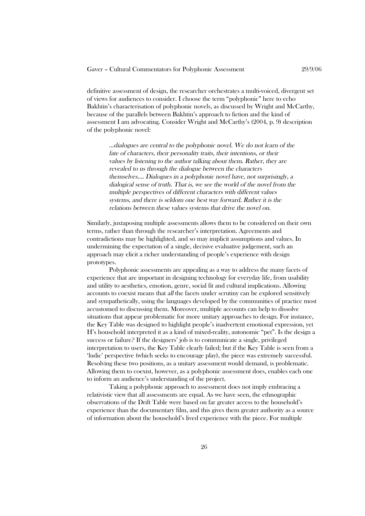definitive assessment of design, the researcher orchestrates a multi-voiced, divergent set of views for audiences to consider. I choose the term "polyphonic" here to echo Bakhtin's characterisation of polyphonic novels, as discussed by Wright and McCarthy, because of the parallels between Bakhtin's approach to fiction and the kind of assessment I am advocating. Consider Wright and McCarthy's (2004, p. 9) description of the polyphonic novel:

…dialogues are central to the polyphonic novel. We do not learn of the fate of characters, their personality traits, their intentions, or their values by listening to the author talking about them. Rather, they are revealed to us through the dialogue between the characters themselves…. Dialogues in a polyphonic novel have, not surprisingly, a dialogical sense of truth. That is, we see the world of the novel from the multiple perspectives of different characters with different values systems, and there is seldom one best way forward. Rather it is the relations between these values systems that drive the novel on.

Similarly, juxtaposing multiple assessments allows them to be considered on their own terms, rather than through the researcher's interpretation. Agreements and contradictions may be highlighted, and so may implicit assumptions and values. In undermining the expectation of a single, decisive evaluative judgement, such an approach may elicit a richer understanding of people's experience with design prototypes.

Polyphonic assessments are appealing as a way to address the many facets of experience that are important in designing technology for everyday life, from usability and utility to aesthetics, emotion, genre, social fit and cultural implications. Allowing accounts to coexist means that all the facets under scrutiny can be explored sensitively and sympathetically, using the languages developed by the communities of practice most accustomed to discussing them. Moreover, multiple accounts can help to dissolve situations that appear problematic for more unitary approaches to design. For instance, the Key Table was designed to highlight people's inadvertent emotional expression, yet H's household interpreted it as a kind of mixed-reality, autonomic "pet". Is the design a success or failure? If the designers' job is to communicate a single, privileged interpretation to users, the Key Table clearly failed; but if the Key Table is seen from a 'ludic' perspective (which seeks to encourage play), the piece was extremely successful. Resolving these two positions, as a unitary assessment would demand, is problematic. Allowing them to coexist, however, as a polyphonic assessment does, enables each one to inform an audience's understanding of the project.

Taking a polyphonic approach to assessment does not imply embracing a relativistic view that all assessments are equal. As we have seen, the ethnographic observations of the Drift Table were based on far greater access to the household's experience than the documentary film, and this gives them greater authority as a source of information about the household's lived experience with the piece. For multiple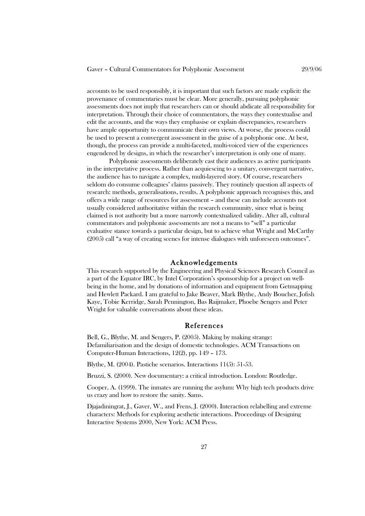accounts to be used responsibly, it is important that such factors are made explicit: the provenance of commentaries must be clear. More generally, pursuing polyphonic assessments does not imply that researchers can or should abdicate all responsibility for interpretation. Through their choice of commentators, the ways they contextualise and edit the accounts, and the ways they emphasise or explain discrepancies, researchers have ample opportunity to communicate their own views. At worse, the process could be used to present a convergent assessment in the guise of a polyphonic one. At best, though, the process can provide a multi-faceted, multi-voiced view of the experiences engendered by designs, in which the researcher's interpretation is only one of many.

Polyphonic assessments deliberately cast their audiences as active participants in the interpretative process. Rather than acquiescing to a unitary, convergent narrative, the audience has to navigate a complex, multi-layered story. Of course, researchers seldom do consume colleagues' claims passively. They routinely question all aspects of research: methods, generalisations, results. A polyphonic approach recognises this, and offers a wide range of resources for assessment – and these can include accounts not usually considered authoritative within the research community, since what is being claimed is not authority but a more narrowly contextualized validity. After all, cultural commentators and polyphonic assessments are not a means to "sell" a particular evaluative stance towards a particular design, but to achieve what Wright and McCarthy (2005) call "a way of creating scenes for intense dialogues with unforeseen outcomes".

# Acknowledgements

This research supported by the Engineering and Physical Sciences Research Council as a part of the Equator IRC, by Intel Corporation's sponsorship for a project on wellbeing in the home, and by donations of information and equipment from Getmapping and Hewlett Packard. I am grateful to Jake Beaver, Mark Blythe, Andy Boucher, Jofish Kaye, Tobie Kerridge, Sarah Pennington, Bas Raijmaker, Phoebe Sengers and Peter Wright for valuable conversations about these ideas.

# References

Bell, G., Blythe, M. and Sengers, P. (2005). Making by making strange: Defamiliarisation and the design of domestic technologies. ACM Transactions on Computer-Human Interactions, 12(2), pp. 149 – 173.

Blythe, M. (2004). Pastiche scenarios. Interactions 11(5): 51-53.

Bruzzi, S. (2000). New documentary: a critical introduction. London: Routledge.

Cooper, A. (1999). The inmates are running the asylum: Why high tech products drive us crazy and how to restore the sanity. Sams.

Djajadiningrat, J., Gaver, W., and Frens, J. (2000). Interaction relabelling and extreme characters: Methods for exploring aesthetic interactions. Proceedings of Designing Interactive Systems 2000, New York: ACM Press.